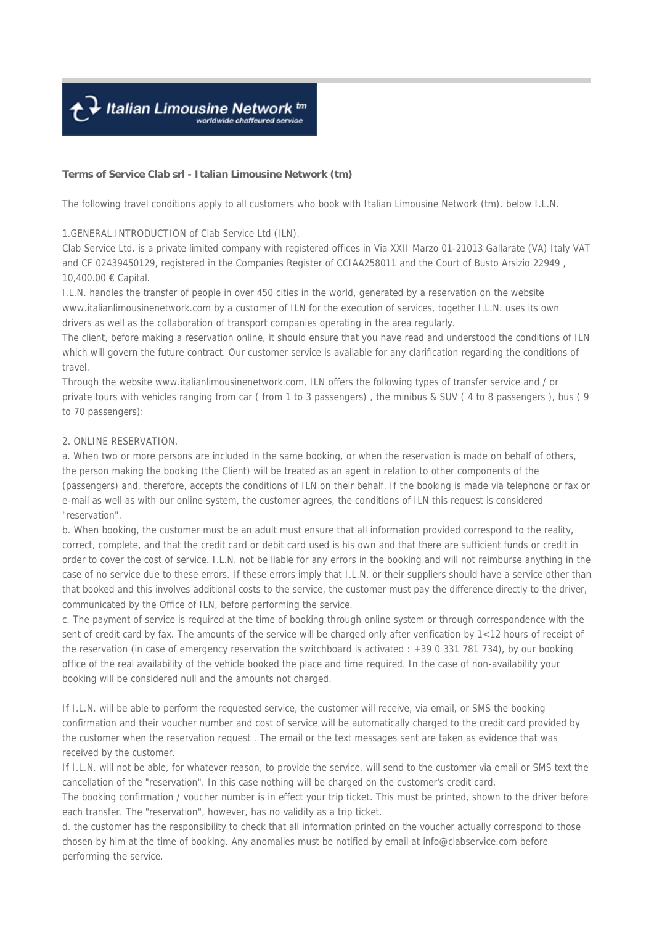↑ Italian Limousine Network tm

#### **Terms of Service Clab srl - Italian Limousine Network (tm)**

The following travel conditions apply to all customers who book with Italian Limousine Network (tm). below I.L.N.

#### 1.GENERAL.INTRODUCTION of Clab Service Ltd (ILN).

Clab Service Ltd. is a private limited company with registered offices in Via XXII Marzo 01-21013 Gallarate (VA) Italy VAT and CF 02439450129, registered in the Companies Register of CCIAA258011 and the Court of Busto Arsizio 22949 , 10,400.00 € Capital.

I.L.N. handles the transfer of people in over 450 cities in the world, generated by a reservation on the website www.italianlimousinenetwork.com by a customer of ILN for the execution of services, together I.L.N. uses its own drivers as well as the collaboration of transport companies operating in the area regularly.

The client, before making a reservation online, it should ensure that you have read and understood the conditions of ILN which will govern the future contract. Our customer service is available for any clarification regarding the conditions of travel.

Through the website www.italianlimousinenetwork.com, ILN offers the following types of transfer service and / or private tours with vehicles ranging from car ( from 1 to 3 passengers) , the minibus & SUV ( 4 to 8 passengers ), bus ( 9 to 70 passengers):

#### 2. ONLINE RESERVATION.

a. When two or more persons are included in the same booking, or when the reservation is made on behalf of others, the person making the booking (the Client) will be treated as an agent in relation to other components of the (passengers) and, therefore, accepts the conditions of ILN on their behalf. If the booking is made via telephone or fax or e-mail as well as with our online system, the customer agrees, the conditions of ILN this request is considered "reservation".

b. When booking, the customer must be an adult must ensure that all information provided correspond to the reality, correct, complete, and that the credit card or debit card used is his own and that there are sufficient funds or credit in order to cover the cost of service. I.L.N. not be liable for any errors in the booking and will not reimburse anything in the case of no service due to these errors. If these errors imply that I.L.N. or their suppliers should have a service other than that booked and this involves additional costs to the service, the customer must pay the difference directly to the driver, communicated by the Office of ILN, before performing the service.

c. The payment of service is required at the time of booking through online system or through correspondence with the sent of credit card by fax. The amounts of the service will be charged only after verification by 1<12 hours of receipt of the reservation (in case of emergency reservation the switchboard is activated : +39 0 331 781 734), by our booking office of the real availability of the vehicle booked the place and time required. In the case of non-availability your booking will be considered null and the amounts not charged.

If I.L.N. will be able to perform the requested service, the customer will receive, via email, or SMS the booking confirmation and their voucher number and cost of service will be automatically charged to the credit card provided by the customer when the reservation request . The email or the text messages sent are taken as evidence that was received by the customer.

If I.L.N. will not be able, for whatever reason, to provide the service, will send to the customer via email or SMS text the cancellation of the "reservation". In this case nothing will be charged on the customer's credit card.

The booking confirmation / voucher number is in effect your trip ticket. This must be printed, shown to the driver before each transfer. The "reservation", however, has no validity as a trip ticket.

d. the customer has the responsibility to check that all information printed on the voucher actually correspond to those chosen by him at the time of booking. Any anomalies must be notified by email at info@clabservice.com before performing the service.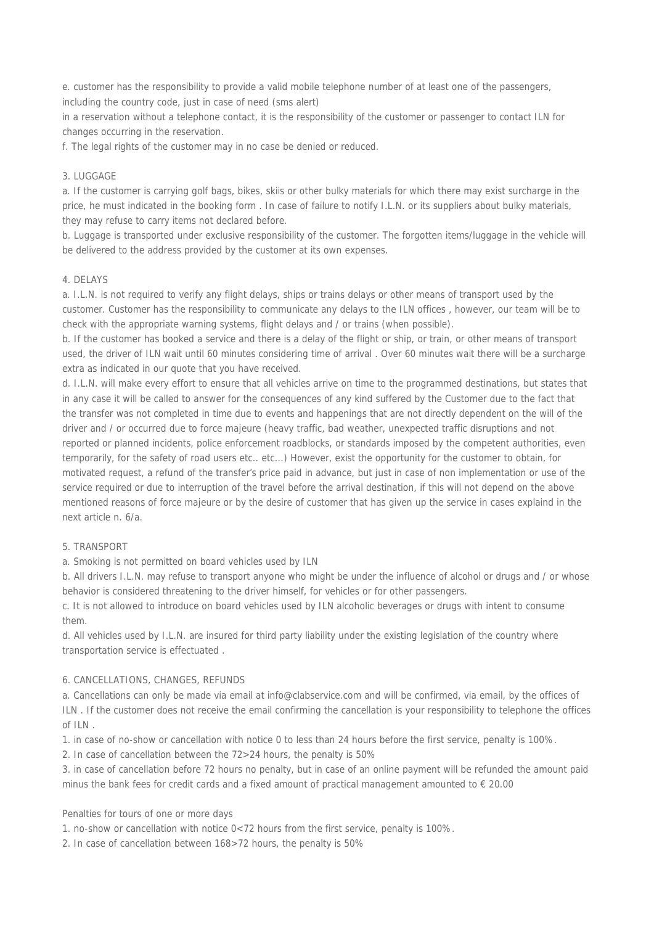e. customer has the responsibility to provide a valid mobile telephone number of at least one of the passengers, including the country code, just in case of need (sms alert)

in a reservation without a telephone contact, it is the responsibility of the customer or passenger to contact ILN for changes occurring in the reservation.

f. The legal rights of the customer may in no case be denied or reduced.

# 3. LUGGAGE

a. If the customer is carrying golf bags, bikes, skiis or other bulky materials for which there may exist surcharge in the price, he must indicated in the booking form . In case of failure to notify I.L.N. or its suppliers about bulky materials, they may refuse to carry items not declared before.

b. Luggage is transported under exclusive responsibility of the customer. The forgotten items/luggage in the vehicle will be delivered to the address provided by the customer at its own expenses.

#### 4. DELAYS

a. I.L.N. is not required to verify any flight delays, ships or trains delays or other means of transport used by the customer. Customer has the responsibility to communicate any delays to the ILN offices , however, our team will be to check with the appropriate warning systems, flight delays and / or trains (when possible).

b. If the customer has booked a service and there is a delay of the flight or ship, or train, or other means of transport used, the driver of ILN wait until 60 minutes considering time of arrival . Over 60 minutes wait there will be a surcharge extra as indicated in our quote that you have received.

d. I.L.N. will make every effort to ensure that all vehicles arrive on time to the programmed destinations, but states that in any case it will be called to answer for the consequences of any kind suffered by the Customer due to the fact that the transfer was not completed in time due to events and happenings that are not directly dependent on the will of the driver and / or occurred due to force majeure (heavy traffic, bad weather, unexpected traffic disruptions and not reported or planned incidents, police enforcement roadblocks, or standards imposed by the competent authorities, even temporarily, for the safety of road users etc.. etc...) However, exist the opportunity for the customer to obtain, for motivated request, a refund of the transfer's price paid in advance, but just in case of non implementation or use of the service required or due to interruption of the travel before the arrival destination, if this will not depend on the above mentioned reasons of force majeure or by the desire of customer that has given up the service in cases explaind in the next article n. 6/a.

# 5. TRANSPORT

a. Smoking is not permitted on board vehicles used by ILN

b. All drivers I.L.N. may refuse to transport anyone who might be under the influence of alcohol or drugs and / or whose behavior is considered threatening to the driver himself, for vehicles or for other passengers.

c. It is not allowed to introduce on board vehicles used by ILN alcoholic beverages or drugs with intent to consume them.

d. All vehicles used by I.L.N. are insured for third party liability under the existing legislation of the country where transportation service is effectuated .

# 6. CANCELLATIONS, CHANGES, REFUNDS

a. Cancellations can only be made via email at info@clabservice.com and will be confirmed, via email, by the offices of ILN . If the customer does not receive the email confirming the cancellation is your responsibility to telephone the offices of ILN .

1. in case of no-show or cancellation with notice 0 to less than 24 hours before the first service, penalty is 100%.

2. In case of cancellation between the 72>24 hours, the penalty is 50%

3. in case of cancellation before 72 hours no penalty, but in case of an online payment will be refunded the amount paid minus the bank fees for credit cards and a fixed amount of practical management amounted to € 20.00

# Penalties for tours of one or more days

1. no-show or cancellation with notice 0<72 hours from the first service, penalty is 100%.

2. In case of cancellation between 168>72 hours, the penalty is 50%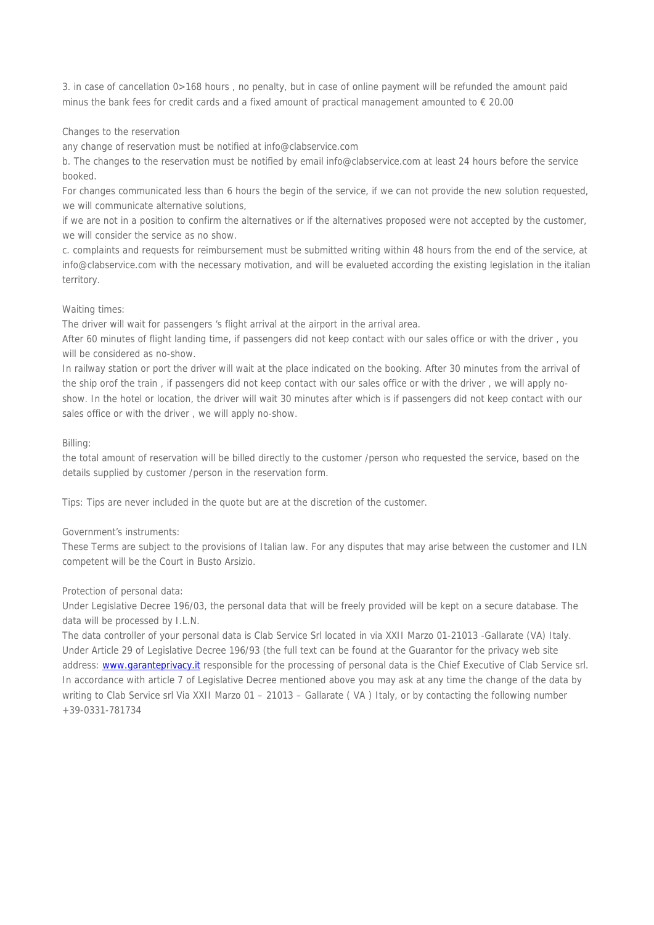3. in case of cancellation 0>168 hours , no penalty, but in case of online payment will be refunded the amount paid minus the bank fees for credit cards and a fixed amount of practical management amounted to € 20.00

# Changes to the reservation

any change of reservation must be notified at info@clabservice.com

b. The changes to the reservation must be notified by email info@clabservice.com at least 24 hours before the service booked.

For changes communicated less than 6 hours the begin of the service, if we can not provide the new solution requested, we will communicate alternative solutions,

if we are not in a position to confirm the alternatives or if the alternatives proposed were not accepted by the customer, we will consider the service as no show.

c. complaints and requests for reimbursement must be submitted writing within 48 hours from the end of the service, at info@clabservice.com with the necessary motivation, and will be evalueted according the existing legislation in the italian territory.

# Waiting times:

The driver will wait for passengers 's flight arrival at the airport in the arrival area.

After 60 minutes of flight landing time, if passengers did not keep contact with our sales office or with the driver , you will be considered as no-show.

In railway station or port the driver will wait at the place indicated on the booking. After 30 minutes from the arrival of the ship orof the train , if passengers did not keep contact with our sales office or with the driver , we will apply noshow. In the hotel or location, the driver will wait 30 minutes after which is if passengers did not keep contact with our sales office or with the driver , we will apply no-show.

# Billing:

the total amount of reservation will be billed directly to the customer /person who requested the service, based on the details supplied by customer /person in the reservation form.

Tips: Tips are never included in the quote but are at the discretion of the customer.

#### Government's instruments:

These Terms are subject to the provisions of Italian law. For any disputes that may arise between the customer and ILN competent will be the Court in Busto Arsizio.

#### Protection of personal data:

Under Legislative Decree 196/03, the personal data that will be freely provided will be kept on a secure database. The data will be processed by I.L.N.

The data controller of your personal data is Clab Service Srl located in via XXII Marzo 01-21013 -Gallarate (VA) Italy. Under Article 29 of Legislative Decree 196/93 (the full text can be found at the Guarantor for the privacy web site address: www.garanteprivacy.it responsible for the processing of personal data is the Chief Executive of Clab Service srl. In accordance with article 7 of Legislative Decree mentioned above you may ask at any time the change of the data by writing to Clab Service srl Via XXII Marzo 01 – 21013 – Gallarate (VA) Italy, or by contacting the following number +39-0331-781734